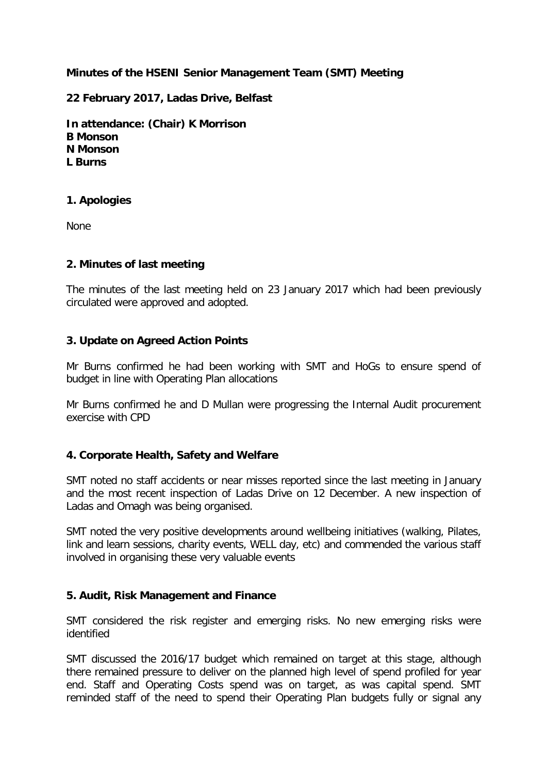# **Minutes of the HSENI Senior Management Team (SMT) Meeting**

**22 February 2017, Ladas Drive, Belfast** 

**In attendance: (Chair) K Morrison B Monson N Monson L Burns**

### **1. Apologies**

None

### **2. Minutes of last meeting**

The minutes of the last meeting held on 23 January 2017 which had been previously circulated were approved and adopted.

### **3. Update on Agreed Action Points**

Mr Burns confirmed he had been working with SMT and HoGs to ensure spend of budget in line with Operating Plan allocations

Mr Burns confirmed he and D Mullan were progressing the Internal Audit procurement exercise with CPD

## **4. Corporate Health, Safety and Welfare**

SMT noted no staff accidents or near misses reported since the last meeting in January and the most recent inspection of Ladas Drive on 12 December. A new inspection of Ladas and Omagh was being organised.

SMT noted the very positive developments around wellbeing initiatives (walking, Pilates, link and learn sessions, charity events, WELL day, etc) and commended the various staff involved in organising these very valuable events

#### **5. Audit, Risk Management and Finance**

SMT considered the risk register and emerging risks. No new emerging risks were identified

SMT discussed the 2016/17 budget which remained on target at this stage, although there remained pressure to deliver on the planned high level of spend profiled for year end. Staff and Operating Costs spend was on target, as was capital spend. SMT reminded staff of the need to spend their Operating Plan budgets fully or signal any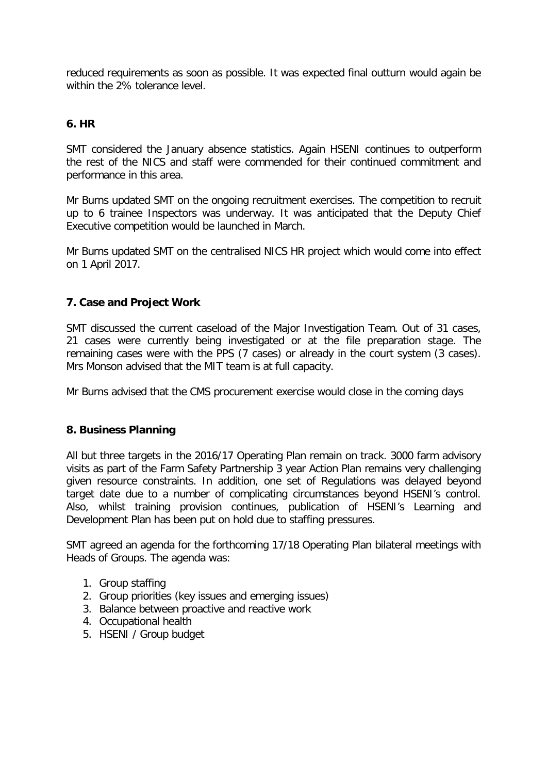reduced requirements as soon as possible. It was expected final outturn would again be within the 2% tolerance level.

# **6. HR**

SMT considered the January absence statistics. Again HSENI continues to outperform the rest of the NICS and staff were commended for their continued commitment and performance in this area.

Mr Burns updated SMT on the ongoing recruitment exercises. The competition to recruit up to 6 trainee Inspectors was underway. It was anticipated that the Deputy Chief Executive competition would be launched in March.

Mr Burns updated SMT on the centralised NICS HR project which would come into effect on 1 April 2017.

# **7. Case and Project Work**

SMT discussed the current caseload of the Major Investigation Team. Out of 31 cases, 21 cases were currently being investigated or at the file preparation stage. The remaining cases were with the PPS (7 cases) or already in the court system (3 cases). Mrs Monson advised that the MIT team is at full capacity.

Mr Burns advised that the CMS procurement exercise would close in the coming days

## **8. Business Planning**

All but three targets in the 2016/17 Operating Plan remain on track. 3000 farm advisory visits as part of the Farm Safety Partnership 3 year Action Plan remains very challenging given resource constraints. In addition, one set of Regulations was delayed beyond target date due to a number of complicating circumstances beyond HSENI's control. Also, whilst training provision continues, publication of HSENI's Learning and Development Plan has been put on hold due to staffing pressures.

SMT agreed an agenda for the forthcoming 17/18 Operating Plan bilateral meetings with Heads of Groups. The agenda was:

- 1. Group staffing
- 2. Group priorities (key issues and emerging issues)
- 3. Balance between proactive and reactive work
- 4. Occupational health
- 5. HSENI / Group budget